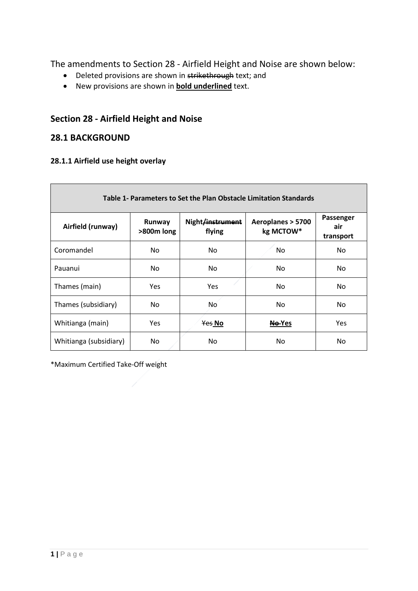The amendments to Section 28 - Airfield Height and Noise are shown below:

- Deleted provisions are shown in strikethrough text; and
- New provisions are shown in **bold underlined** text.

# **Section 28 - Airfield Height and Noise**

## **28.1 BACKGROUND**

## **28.1.1 Airfield use height overlay**

| Table 1- Parameters to Set the Plan Obstacle Limitation Standards |                      |                            |                                |                               |
|-------------------------------------------------------------------|----------------------|----------------------------|--------------------------------|-------------------------------|
| Airfield (runway)                                                 | Runway<br>>800m long | Night/instrument<br>flying | Aeroplanes > 5700<br>kg MCTOW* | Passenger<br>air<br>transport |
| Coromandel                                                        | No.                  | No.                        | No                             | No.                           |
| Pauanui                                                           | No.                  | No.                        | No.                            | No.                           |
| Thames (main)                                                     | <b>Yes</b>           | Yes                        | No.                            | No.                           |
| Thames (subsidiary)                                               | No.                  | Nó.                        | No.                            | No.                           |
| Whitianga (main)                                                  | <b>Yes</b>           | Yes No                     | No-Yes                         | <b>Yes</b>                    |
| Whitianga (subsidiary)                                            | No.                  | N <sub>0</sub>             | No                             | No.                           |

\*Maximum Certified Take-Off weight